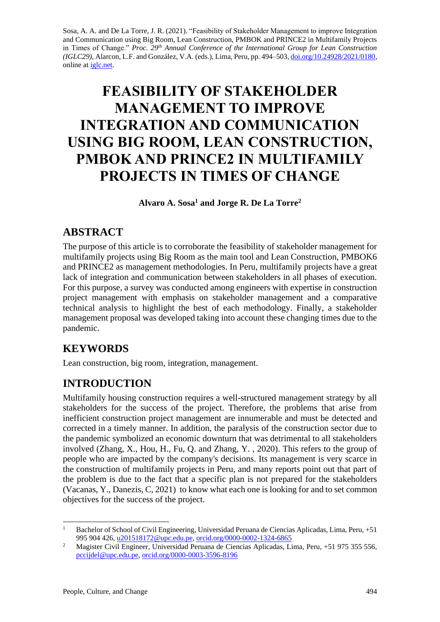Sosa, A. A. and De La Torre, J. R. (2021). "Feasibility of Stakeholder Management to improve Integration and Communication using Big Room, Lean Construction, PMBOK and PRINCE2 in Multifamily Projects in Times of Change." *Proc. 29<sup>th</sup> Annual Conference of the International Group for Lean Construction (IGLC29),* Alarcon, L.F. and González, V.A. (eds.)*,* Lima, Peru, pp. 494–503[, doi.org/10.24928/2021/0180,](https://doi.org/10.24928/2021/0180) online at *iglc.net.* 

# **FEASIBILITY OF STAKEHOLDER MANAGEMENT TO IMPROVE INTEGRATION AND COMMUNICATION USING BIG ROOM, LEAN CONSTRUCTION, PMBOK AND PRINCE2 IN MULTIFAMILY PROJECTS IN TIMES OF CHANGE**

**Alvaro A. Sosa<sup>1</sup> and Jorge R. De La Torre<sup>2</sup>**

### **ABSTRACT**

The purpose of this article is to corroborate the feasibility of stakeholder management for multifamily projects using Big Room as the main tool and Lean Construction, PMBOK6 and PRINCE2 as management methodologies. In Peru, multifamily projects have a great lack of integration and communication between stakeholders in all phases of execution. For this purpose, a survey was conducted among engineers with expertise in construction project management with emphasis on stakeholder management and a comparative technical analysis to highlight the best of each methodology. Finally, a stakeholder management proposal was developed taking into account these changing times due to the pandemic.

# **KEYWORDS**

Lean construction, big room, integration, management.

# **INTRODUCTION**

Multifamily housing construction requires a well-structured management strategy by all stakeholders for the success of the project. Therefore, the problems that arise from inefficient construction project management are innumerable and must be detected and corrected in a timely manner. In addition, the paralysis of the construction sector due to the pandemic symbolized an economic downturn that was detrimental to all stakeholders involved (Zhang, X., Hou, H., Fu, Q. and Zhang, Y. , 2020). This refers to the group of people who are impacted by the company's decisions. Its management is very scarce in the construction of multifamily projects in Peru, and many reports point out that part of the problem is due to the fact that a specific plan is not prepared for the stakeholders (Vacanas, Y., Danezis, C, 2021) to know what each one is looking for and to set common objectives for the success of the project.

<sup>1</sup> Bachelor of School of Civil Engineering, Universidad Peruana de Ciencias Aplicadas, Lima, Peru, +51 995 904 426, [u201518172@upc.edu.pe,](mailto:u201518172@upc.edu.pe) [orcid.org/0000-0002-1324-6865](http://orcid.org/0000-0002-9941-6596)

<sup>&</sup>lt;sup>2</sup> Magister Civil Engineer, Universidad Peruana de Ciencias Aplicadas, Lima, Peru, +51 975 355 556, [pccijdel@upc.edu.pe,](mailto:pccijdel@upc.edu.pe) [orcid.org/0000-0003-3596-8196](http://orcid.org/0000-0002-9941-6596)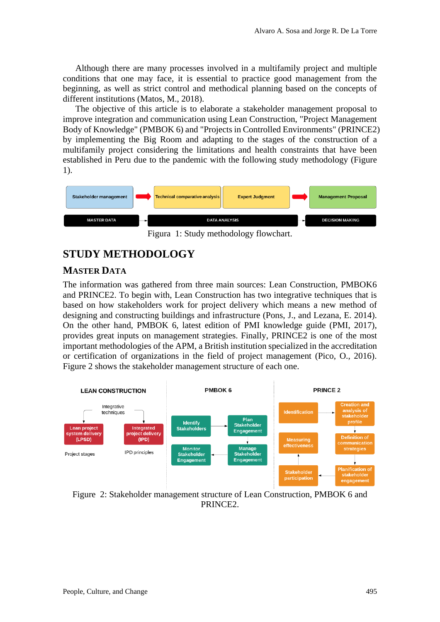Although there are many processes involved in a multifamily project and multiple conditions that one may face, it is essential to practice good management from the beginning, as well as strict control and methodical planning based on the concepts of different institutions (Matos, M., 2018).

The objective of this article is to elaborate a stakeholder management proposal to improve integration and communication using Lean Construction, "Project Management Body of Knowledge" (PMBOK 6) and "Projects in Controlled Environments" (PRINCE2) by implementing the Big Room and adapting to the stages of the construction of a multifamily project considering the limitations and health constraints that have been established in Peru due to the pandemic with the following study methodology (Figure 1).



Figura 1: Study methodology flowchart.

## **STUDY METHODOLOGY**

#### **MASTER DATA**

The information was gathered from three main sources: Lean Construction, PMBOK6 and PRINCE2. To begin with, Lean Construction has two integrative techniques that is based on how stakeholders work for project delivery which means a new method of designing and constructing buildings and infrastructure (Pons, J., and Lezana, E. 2014). On the other hand, PMBOK 6, latest edition of PMI knowledge guide (PMI, 2017), provides great inputs on management strategies. Finally, PRINCE2 is one of the most important methodologies of the APM, a British institution specialized in the accreditation or certification of organizations in the field of project management (Pico, O., 2016). Figure 2 shows the stakeholder management structure of each one.



Figure 2: Stakeholder management structure of Lean Construction, PMBOK 6 and PRINCE2.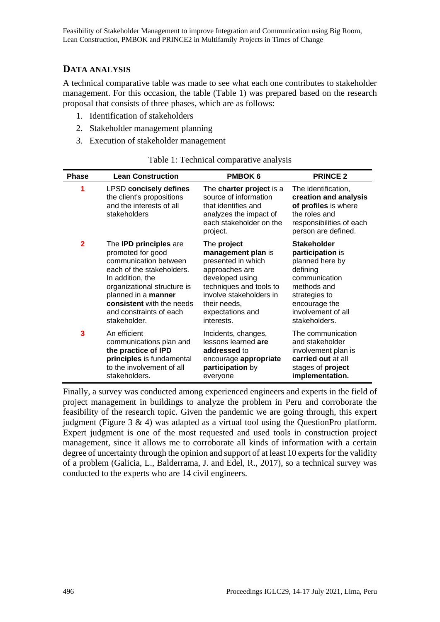#### **DATA ANALYSIS**

A technical comparative table was made to see what each one contributes to stakeholder management. For this occasion, the table (Table 1) was prepared based on the research proposal that consists of three phases, which are as follows:

- 1. Identification of stakeholders
- 2. Stakeholder management planning
- 3. Execution of stakeholder management

| <b>Phase</b> | <b>Lean Construction</b>                                                                               | <b>PMBOK 6</b>                                                                                                                            | <b>PRINCE 2</b>                                                                                                                          |
|--------------|--------------------------------------------------------------------------------------------------------|-------------------------------------------------------------------------------------------------------------------------------------------|------------------------------------------------------------------------------------------------------------------------------------------|
| 1            | <b>LPSD concisely defines</b><br>the client's propositions<br>and the interests of all<br>stakeholders | The charter project is a<br>source of information<br>that identifies and<br>analyzes the impact of<br>each stakeholder on the<br>project. | The identification,<br>creation and analysis<br>of profiles is where<br>the roles and<br>responsibilities of each<br>person are defined. |
| $\mathbf 2$  | The <b>IPD principles</b> are                                                                          | The project                                                                                                                               | <b>Stakeholder</b>                                                                                                                       |
|              | promoted for good                                                                                      | management plan is                                                                                                                        | participation is                                                                                                                         |
|              | communication between                                                                                  | presented in which                                                                                                                        | planned here by                                                                                                                          |
|              | each of the stakeholders.                                                                              | approaches are                                                                                                                            | defining                                                                                                                                 |
|              | In addition, the                                                                                       | developed using                                                                                                                           | communication                                                                                                                            |
|              | organizational structure is                                                                            | techniques and tools to                                                                                                                   | methods and                                                                                                                              |
|              | planned in a manner                                                                                    | involve stakeholders in                                                                                                                   | strategies to                                                                                                                            |
|              | consistent with the needs                                                                              | their needs,                                                                                                                              | encourage the                                                                                                                            |
|              | and constraints of each                                                                                | expectations and                                                                                                                          | involvement of all                                                                                                                       |
|              | stakeholder.                                                                                           | interests.                                                                                                                                | stakeholders.                                                                                                                            |
| 3            | An efficient                                                                                           | Incidents, changes,                                                                                                                       | The communication                                                                                                                        |
|              | communications plan and                                                                                | lessons learned are                                                                                                                       | and stakeholder                                                                                                                          |
|              | the practice of IPD                                                                                    | addressed to                                                                                                                              | involvement plan is                                                                                                                      |
|              | principles is fundamental                                                                              | encourage appropriate                                                                                                                     | carried out at all                                                                                                                       |
|              | to the involvement of all                                                                              | participation by                                                                                                                          | stages of project                                                                                                                        |
|              | stakeholders.                                                                                          | everyone                                                                                                                                  | implementation.                                                                                                                          |

| Table 1: Technical comparative analysis |
|-----------------------------------------|
|                                         |

Finally, a survey was conducted among experienced engineers and experts in the field of project management in buildings to analyze the problem in Peru and corroborate the feasibility of the research topic. Given the pandemic we are going through, this expert judgment (Figure 3  $\&$  4) was adapted as a virtual tool using the QuestionPro platform. Expert judgment is one of the most requested and used tools in construction project management, since it allows me to corroborate all kinds of information with a certain degree of uncertainty through the opinion and support of at least 10 experts for the validity of a problem (Galicia, L., Balderrama, J. and Edel, R., 2017), so a technical survey was conducted to the experts who are 14 civil engineers.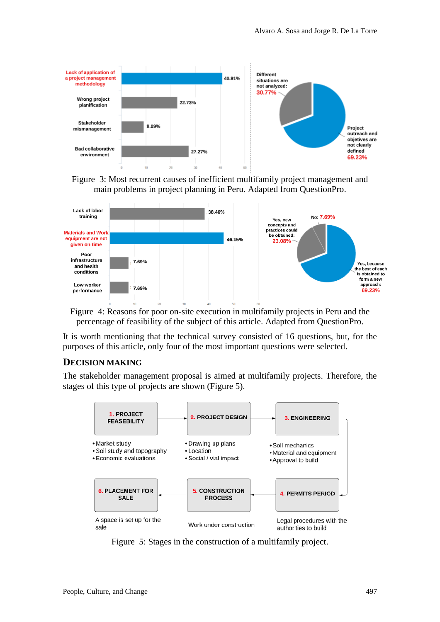

Figure 3: Most recurrent causes of inefficient multifamily project management and main problems in project planning in Peru. Adapted from QuestionPro.



Figure 4: Reasons for poor on-site execution in multifamily projects in Peru and the percentage of feasibility of the subject of this article. Adapted from QuestionPro.

It is worth mentioning that the technical survey consisted of 16 questions, but, for the purposes of this article, only four of the most important questions were selected.

#### **DECISION MAKING**

The stakeholder management proposal is aimed at multifamily projects. Therefore, the stages of this type of projects are shown (Figure 5).



Figure 5: Stages in the construction of a multifamily project.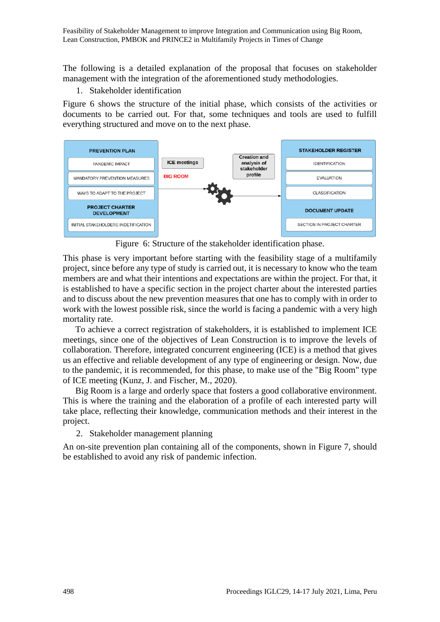The following is a detailed explanation of the proposal that focuses on stakeholder management with the integration of the aforementioned study methodologies.

1. Stakeholder identification

Figure 6 shows the structure of the initial phase, which consists of the activities or documents to be carried out. For that, some techniques and tools are used to fulfill everything structured and move on to the next phase.



Figure 6: Structure of the stakeholder identification phase.

This phase is very important before starting with the feasibility stage of a multifamily project, since before any type of study is carried out, it is necessary to know who the team members are and what their intentions and expectations are within the project. For that, it is established to have a specific section in the project charter about the interested parties and to discuss about the new prevention measures that one has to comply with in order to work with the lowest possible risk, since the world is facing a pandemic with a very high mortality rate.

To achieve a correct registration of stakeholders, it is established to implement ICE meetings, since one of the objectives of Lean Construction is to improve the levels of collaboration. Therefore, integrated concurrent engineering (ICE) is a method that gives us an effective and reliable development of any type of engineering or design. Now, due to the pandemic, it is recommended, for this phase, to make use of the "Big Room" type of ICE meeting (Kunz, J. and Fischer, M., 2020).

Big Room is a large and orderly space that fosters a good collaborative environment. This is where the training and the elaboration of a profile of each interested party will take place, reflecting their knowledge, communication methods and their interest in the project.

2. Stakeholder management planning

An on-site prevention plan containing all of the components, shown in Figure 7, should be established to avoid any risk of pandemic infection.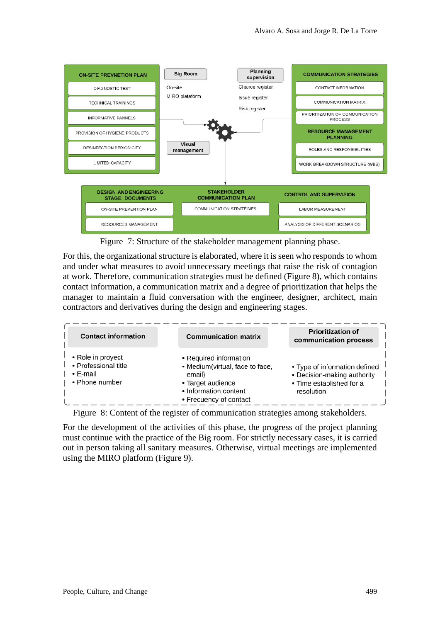

Figure 7: Structure of the stakeholder management planning phase.

For this, the organizational structure is elaborated, where it is seen who responds to whom and under what measures to avoid unnecessary meetings that raise the risk of contagion at work. Therefore, communication strategies must be defined (Figure 8), which contains contact information, a communication matrix and a degree of prioritization that helps the manager to maintain a fluid conversation with the engineer, designer, architect, main contractors and derivatives during the design and engineering stages.

| <b>Contact information</b>                                              | <b>Communication matrix</b>                                                                                                                 | <b>Prioritization of</b><br>communication process                                                      |
|-------------------------------------------------------------------------|---------------------------------------------------------------------------------------------------------------------------------------------|--------------------------------------------------------------------------------------------------------|
| • Role in proyect<br>• Professional title<br>• E-mail<br>• Phone number | • Required information<br>• Medium(virtual, face to face,<br>email)<br>• Target audience<br>• Information content<br>• Frecuency of contact | • Type of information defined<br>• Decision-making authority<br>• Time established for a<br>resolution |

Figure 8: Content of the register of communication strategies among stakeholders.

For the development of the activities of this phase, the progress of the project planning must continue with the practice of the Big room. For strictly necessary cases, it is carried out in person taking all sanitary measures. Otherwise, virtual meetings are implemented using the MIRO platform (Figure 9).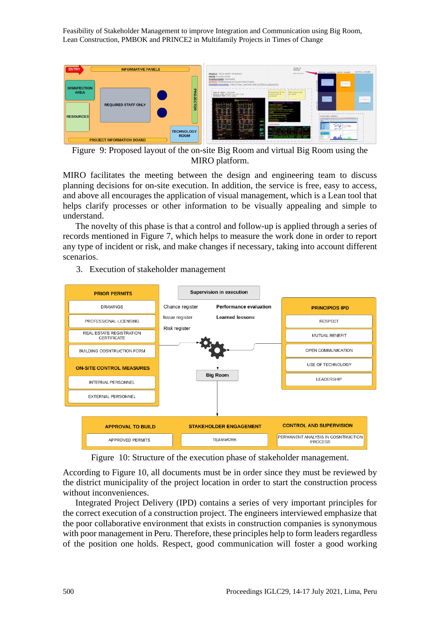Feasibility of Stakeholder Management to improve Integration and Communication using Big Room, Lean Construction, PMBOK and PRINCE2 in Multifamily Projects in Times of Change



Figure 9: Proposed layout of the on-site Big Room and virtual Big Room using the MIRO platform.

MIRO facilitates the meeting between the design and engineering team to discuss planning decisions for on-site execution. In addition, the service is free, easy to access, and above all encourages the application of visual management, which is a Lean tool that helps clarify processes or other information to be visually appealing and simple to understand.

The novelty of this phase is that a control and follow-up is applied through a series of records mentioned in Figure 7, which helps to measure the work done in order to report any type of incident or risk, and make changes if necessary, taking into account different scenarios.

3. Execution of stakeholder management



Figure 10: Structure of the execution phase of stakeholder management.

According to Figure 10, all documents must be in order since they must be reviewed by the district municipality of the project location in order to start the construction process without inconveniences.

Integrated Project Delivery (IPD) contains a series of very important principles for the correct execution of a construction project. The engineers interviewed emphasize that the poor collaborative environment that exists in construction companies is synonymous with poor management in Peru. Therefore, these principles help to form leaders regardless of the position one holds. Respect, good communication will foster a good working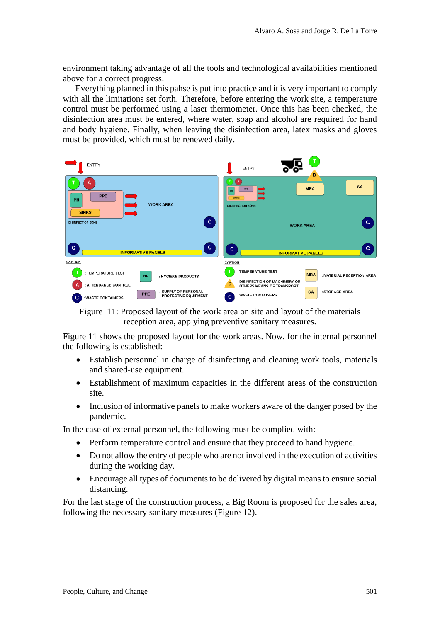environment taking advantage of all the tools and technological availabilities mentioned above for a correct progress.

Everything planned in this pahse is put into practice and it is very important to comply with all the limitations set forth. Therefore, before entering the work site, a temperature control must be performed using a laser thermometer. Once this has been checked, the disinfection area must be entered, where water, soap and alcohol are required for hand and body hygiene. Finally, when leaving the disinfection area, latex masks and gloves must be provided, which must be renewed daily.

| <b>ENTRY</b>                                                                        | т<br><b>ENTRY</b><br>D                                                |
|-------------------------------------------------------------------------------------|-----------------------------------------------------------------------|
| А                                                                                   | <b>SA</b>                                                             |
| <b>PPE</b>                                                                          | <b>MRA</b>                                                            |
| PH                                                                                  | <b>PPE</b>                                                            |
| <b>WORK AREA</b>                                                                    | <b>SIMKS</b>                                                          |
| <b>SINKS</b>                                                                        | <b>DISINFECTION ZONE</b>                                              |
| c                                                                                   | c.                                                                    |
| <b>DISINFECTION ZONE</b>                                                            | <b>WORK AREA</b>                                                      |
| c                                                                                   | c                                                                     |
| c                                                                                   | c                                                                     |
| <b>INFORMATIVE PANELS</b>                                                           | <b>INFORMATIVE PANELS</b>                                             |
| <b>CAPTION</b>                                                                      | CAPTION                                                               |
| : TEMPERATURE TEST                                                                  | : TEMPERATURE TEST                                                    |
| <b>HP</b>                                                                           | <b>MRA</b>                                                            |
| : HYGIENE PRODUCTS                                                                  | : MATERIAL RECEPTION AREA                                             |
| : ATTENDANCE CONTROL                                                                | <b>DISINFECTION OF MACHINERY OR</b><br>D<br>OTHERS MEANS OF TRANSPORT |
| SUPPLY OF PERSONAL<br><b>PPE</b><br>PROTECTIVE EQUIPMENT<br>c<br>: WASTE CONTAINERS | <b>SA</b><br>: STORAGE AREA<br>: WASTE CONTAINERS<br>c                |

Figure 11: Proposed layout of the work area on site and layout of the materials reception area, applying preventive sanitary measures.

Figure 11 shows the proposed layout for the work areas. Now, for the internal personnel the following is established:

- Establish personnel in charge of disinfecting and cleaning work tools, materials and shared-use equipment.
- Establishment of maximum capacities in the different areas of the construction site.
- Inclusion of informative panels to make workers aware of the danger posed by the pandemic.

In the case of external personnel, the following must be complied with:

- Perform temperature control and ensure that they proceed to hand hygiene.
- Do not allow the entry of people who are not involved in the execution of activities during the working day.
- Encourage all types of documents to be delivered by digital means to ensure social distancing.

For the last stage of the construction process, a Big Room is proposed for the sales area, following the necessary sanitary measures (Figure 12).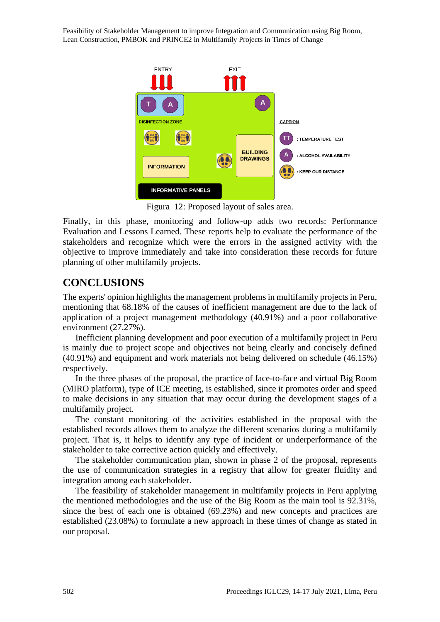Feasibility of Stakeholder Management to improve Integration and Communication using Big Room, Lean Construction, PMBOK and PRINCE2 in Multifamily Projects in Times of Change



Figura 12: Proposed layout of sales area.

Finally, in this phase, monitoring and follow-up adds two records: Performance Evaluation and Lessons Learned. These reports help to evaluate the performance of the stakeholders and recognize which were the errors in the assigned activity with the objective to improve immediately and take into consideration these records for future planning of other multifamily projects.

### **CONCLUSIONS**

The experts' opinion highlights the management problems in multifamily projects in Peru, mentioning that 68.18% of the causes of inefficient management are due to the lack of application of a project management methodology (40.91%) and a poor collaborative environment (27.27%).

Inefficient planning development and poor execution of a multifamily project in Peru is mainly due to project scope and objectives not being clearly and concisely defined (40.91%) and equipment and work materials not being delivered on schedule (46.15%) respectively.

In the three phases of the proposal, the practice of face-to-face and virtual Big Room (MIRO platform), type of ICE meeting, is established, since it promotes order and speed to make decisions in any situation that may occur during the development stages of a multifamily project.

The constant monitoring of the activities established in the proposal with the established records allows them to analyze the different scenarios during a multifamily project. That is, it helps to identify any type of incident or underperformance of the stakeholder to take corrective action quickly and effectively.

The stakeholder communication plan, shown in phase 2 of the proposal, represents the use of communication strategies in a registry that allow for greater fluidity and integration among each stakeholder.

The feasibility of stakeholder management in multifamily projects in Peru applying the mentioned methodologies and the use of the Big Room as the main tool is 92.31%, since the best of each one is obtained (69.23%) and new concepts and practices are established (23.08%) to formulate a new approach in these times of change as stated in our proposal.